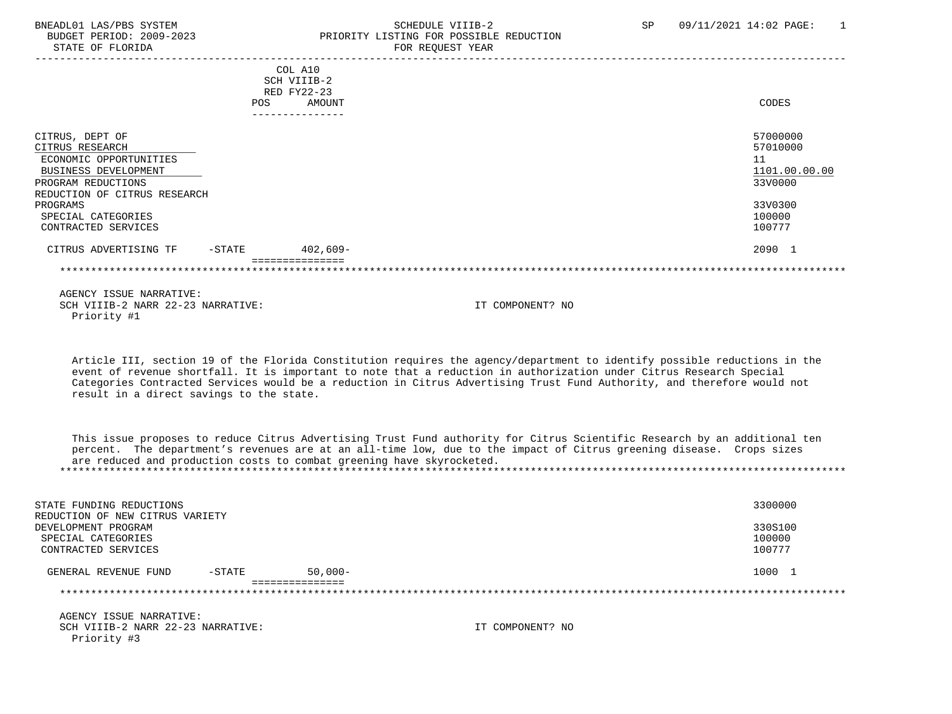## BNEADL01 LAS/PBS SYSTEM SCHEDULE VIIIB-2 SCHEDULE VIIIB-2 SP 09/11/2021 14:02 PAGE: 1

|                                                                                                                                            | <b>POS</b> | COL A10<br>SCH VIIIB-2<br>RED FY22-23<br><b>AMOUNT</b><br>--------------- |                  | CODES                                                  |
|--------------------------------------------------------------------------------------------------------------------------------------------|------------|---------------------------------------------------------------------------|------------------|--------------------------------------------------------|
| CITRUS, DEPT OF<br>CITRUS RESEARCH<br>ECONOMIC OPPORTUNITIES<br>BUSINESS DEVELOPMENT<br>PROGRAM REDUCTIONS<br>REDUCTION OF CITRUS RESEARCH |            |                                                                           |                  | 57000000<br>57010000<br>11<br>1101.00.00.00<br>33V0000 |
| PROGRAMS<br>SPECIAL CATEGORIES<br>CONTRACTED SERVICES                                                                                      |            |                                                                           |                  | 33V0300<br>100000<br>100777                            |
| CITRUS ADVERTISING TF                                                                                                                      | -STATE     | 402,609-<br>. = = = = = = = = = = = = =                                   |                  | 2090 1                                                 |
|                                                                                                                                            |            |                                                                           |                  |                                                        |
| AGENCY ISSUE NARRATIVE:<br>SCH VIIIB-2 NARR 22-23 NARRATIVE:<br>Priority #1                                                                |            |                                                                           | IT COMPONENT? NO |                                                        |

 Article III, section 19 of the Florida Constitution requires the agency/department to identify possible reductions in the event of revenue shortfall. It is important to note that a reduction in authorization under Citrus Research Special Categories Contracted Services would be a reduction in Citrus Advertising Trust Fund Authority, and therefore would not result in a direct savings to the state.

 This issue proposes to reduce Citrus Advertising Trust Fund authority for Citrus Scientific Research by an additional ten percent. The department's revenues are at an all-time low, due to the impact of Citrus greening disease. Crops sizes are reduced and production costs to combat greening have skyrocketed. \*\*\*\*\*\*\*\*\*\*\*\*\*\*\*\*\*\*\*\*\*\*\*\*\*\*\*\*\*\*\*\*\*\*\*\*\*\*\*\*\*\*\*\*\*\*\*\*\*\*\*\*\*\*\*\*\*\*\*\*\*\*\*\*\*\*\*\*\*\*\*\*\*\*\*\*\*\*\*\*\*\*\*\*\*\*\*\*\*\*\*\*\*\*\*\*\*\*\*\*\*\*\*\*\*\*\*\*\*\*\*\*\*\*\*\*\*\*\*\*\*\*\*\*\*\*\*

| STATE FUNDING REDUCTIONS<br>REDUCTION OF NEW CITRUS VARIETY |           |            |                  | 3300000 |
|-------------------------------------------------------------|-----------|------------|------------------|---------|
| DEVELOPMENT PROGRAM                                         |           |            |                  | 330S100 |
| SPECIAL CATEGORIES                                          |           |            |                  | 100000  |
| CONTRACTED SERVICES                                         |           |            |                  | 100777  |
| GENERAL REVENUE FUND                                        | $-$ STATE | $50.000 -$ |                  | 1000 1  |
|                                                             |           |            |                  |         |
| AGENCY ISSUE NARRATIVE:                                     |           |            |                  |         |
| SCH VIIIB-2 NARR 22-23 NARRATIVE:<br>Priority #3            |           |            | IT COMPONENT? NO |         |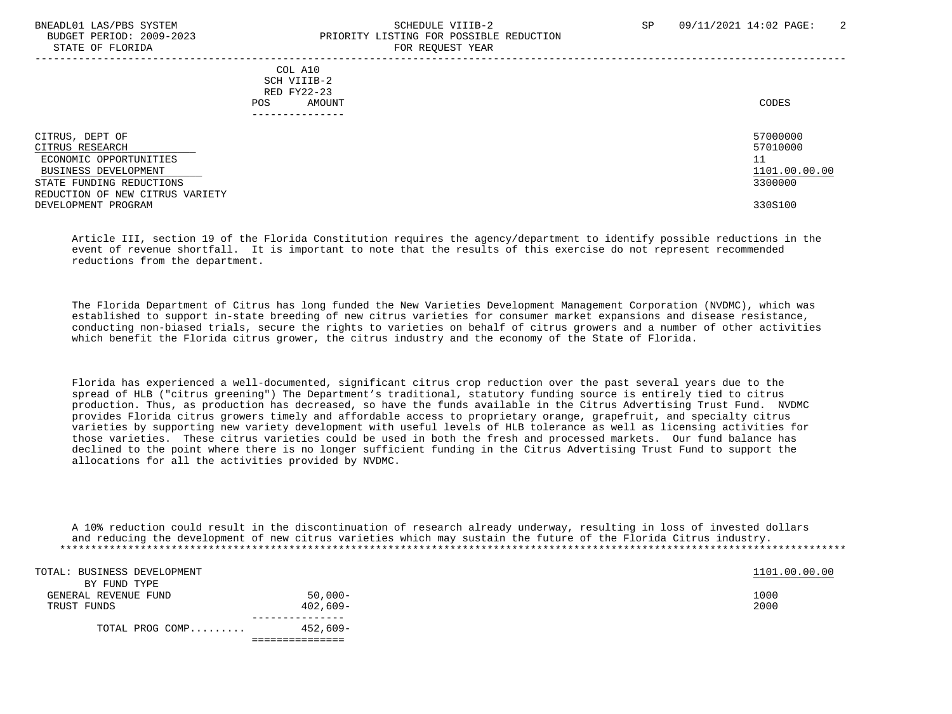## BNEADL01 LAS/PBS SYSTEM SCHEDULE VIIIB-2 SCHEDULE VIIIB-2 SP 09/11/2021 14:02 PAGE: 2 BUDGET PERIOD: 2009-2023 PRIORITY LISTING FOR POSSIBLE REDUCTION STATE OF FLORIDA FOR REQUEST YEAR FOR REQUEST YEAR

-----------------------------------------------------------------------------------------------------------------------------------

 COL A10 SCH VIIIB-2 RED FY22-23 POS AMOUNT NOTES AND AND A RESERVE AND A RESERVE AND LODGED AND LODGED AND LODGED AND LODGED AND LODGED AND LODGED AT A LODGED AND LODGED AT A LODGED AND LODGED AT A LODGED AND LODGED AT A LODGED AND LODGED AT A LODGED AND ---------------

CITRUS, DEPT OF 57000000 CONSTRUCTED AND STOLEN ASSESSED. THE STOLEN STOLEN ASSESSED.  $CITRUS$  RESEARCH  $\qquad \qquad \qquad \qquad$  57010000 ECONOMIC OPPORTUNITIES 11 BUSINESS DEVELOPMENT 1101.00.00.00 CONSUMING REDUCTIONS (1101.00.00 CONSUMING REDUCTIONS AND ALL AND ARREST OF THE STATE FUNDING REDUCTIONS (1999) STATE FUNDING REDUCTIONS REDUCTION OF NEW CITRUS VARIETY DEVELOPMENT PROGRAM 330S100

 Article III, section 19 of the Florida Constitution requires the agency/department to identify possible reductions in the event of revenue shortfall. It is important to note that the results of this exercise do not represent recommended reductions from the department.

 The Florida Department of Citrus has long funded the New Varieties Development Management Corporation (NVDMC), which was established to support in-state breeding of new citrus varieties for consumer market expansions and disease resistance, conducting non-biased trials, secure the rights to varieties on behalf of citrus growers and a number of other activities which benefit the Florida citrus grower, the citrus industry and the economy of the State of Florida.

 Florida has experienced a well-documented, significant citrus crop reduction over the past several years due to the spread of HLB ("citrus greening") The Department's traditional, statutory funding source is entirely tied to citrus production. Thus, as production has decreased, so have the funds available in the Citrus Advertising Trust Fund. NVDMC provides Florida citrus growers timely and affordable access to proprietary orange, grapefruit, and specialty citrus varieties by supporting new variety development with useful levels of HLB tolerance as well as licensing activities for those varieties. These citrus varieties could be used in both the fresh and processed markets. Our fund balance has declined to the point where there is no longer sufficient funding in the Citrus Advertising Trust Fund to support the allocations for all the activities provided by NVDMC.

| A 10% reduction could result in the discontinuation of research already underway, resulting in loss of invested dollars |  |  |  |
|-------------------------------------------------------------------------------------------------------------------------|--|--|--|
| and reducing the development of new citrus varieties which may sustain the future of the Florida Citrus industry.       |  |  |  |
|                                                                                                                         |  |  |  |

| TOTAL: BUSINESS DEVELOPMENT |            | 1101.00.00.00 |  |
|-----------------------------|------------|---------------|--|
| BY FUND TYPE                |            |               |  |
| GENERAL REVENUE FUND        | $50,000-$  | 1000          |  |
| TRUST FUNDS                 | $402,609-$ | 2000          |  |
|                             |            |               |  |
| TOTAL PROG COMP             | 452,609-   |               |  |
|                             |            |               |  |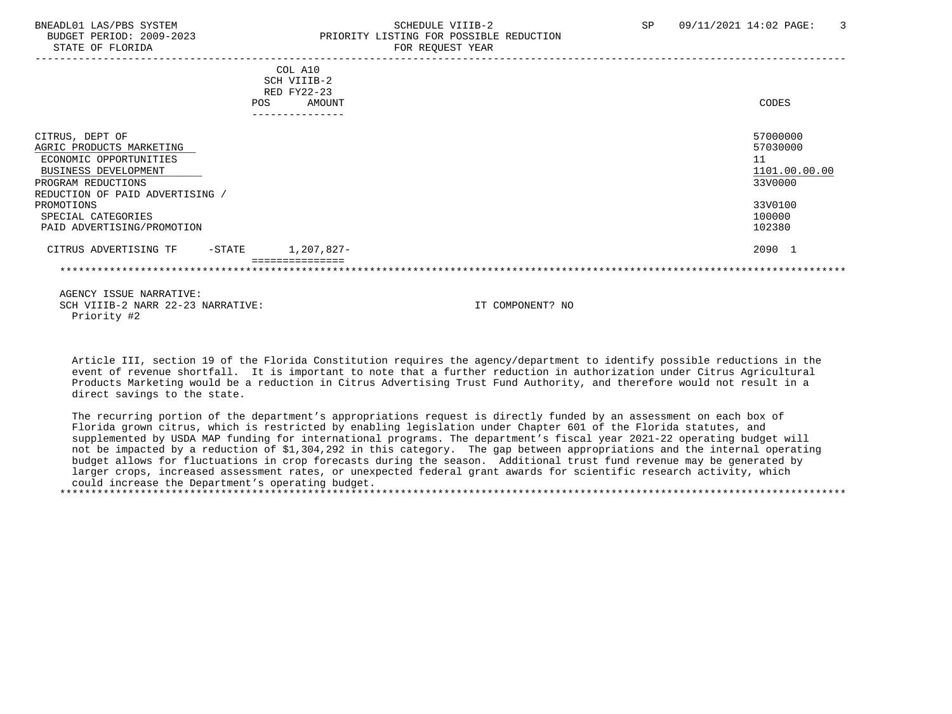## BNEADL01 LAS/PBS SYSTEM SCHEDULE VIIIB-2 SCHEDULE VIIIB-2 SP 09/11/2021 14:02 PAGE: 3 BUDGET PERIOD: 2009-2023 PRIORITY LISTING FOR POSSIBLE REDUCTION STATE OF FLORIDA FOR REQUEST YEAR FOR REQUEST YEAR

|                                                  |           | COL A10       |                  |               |
|--------------------------------------------------|-----------|---------------|------------------|---------------|
|                                                  |           | SCH VIIIB-2   |                  |               |
|                                                  |           | RED FY22-23   |                  |               |
|                                                  | POS       | AMOUNT        |                  | CODES         |
|                                                  |           |               |                  |               |
| CITRUS, DEPT OF                                  |           |               |                  | 57000000      |
| AGRIC PRODUCTS MARKETING                         |           |               |                  | 57030000      |
| ECONOMIC OPPORTUNITIES                           |           |               |                  | 11            |
| BUSINESS DEVELOPMENT                             |           |               |                  | 1101.00.00.00 |
| PROGRAM REDUCTIONS                               |           |               |                  | 33V0000       |
| REDUCTION OF PAID ADVERTISING /                  |           |               |                  |               |
| PROMOTIONS                                       |           |               |                  | 33V0100       |
| SPECIAL CATEGORIES                               |           |               |                  | 100000        |
| PAID ADVERTISING/PROMOTION                       |           |               |                  | 102380        |
| CITRUS ADVERTISING TF                            | $-$ STATE | 1,207,827-    |                  | 2090 1        |
|                                                  |           | :============ |                  |               |
|                                                  |           |               |                  |               |
| AGENCY ISSUE NARRATIVE:                          |           |               |                  |               |
| SCH VIIIB-2 NARR 22-23 NARRATIVE:<br>Priority #2 |           |               | IT COMPONENT? NO |               |

 Article III, section 19 of the Florida Constitution requires the agency/department to identify possible reductions in the event of revenue shortfall. It is important to note that a further reduction in authorization under Citrus Agricultural Products Marketing would be a reduction in Citrus Advertising Trust Fund Authority, and therefore would not result in a direct savings to the state.

 The recurring portion of the department's appropriations request is directly funded by an assessment on each box of Florida grown citrus, which is restricted by enabling legislation under Chapter 601 of the Florida statutes, and supplemented by USDA MAP funding for international programs. The department's fiscal year 2021-22 operating budget will not be impacted by a reduction of \$1,304,292 in this category. The gap between appropriations and the internal operating budget allows for fluctuations in crop forecasts during the season. Additional trust fund revenue may be generated by larger crops, increased assessment rates, or unexpected federal grant awards for scientific research activity, which could increase the Department's operating budget. \*\*\*\*\*\*\*\*\*\*\*\*\*\*\*\*\*\*\*\*\*\*\*\*\*\*\*\*\*\*\*\*\*\*\*\*\*\*\*\*\*\*\*\*\*\*\*\*\*\*\*\*\*\*\*\*\*\*\*\*\*\*\*\*\*\*\*\*\*\*\*\*\*\*\*\*\*\*\*\*\*\*\*\*\*\*\*\*\*\*\*\*\*\*\*\*\*\*\*\*\*\*\*\*\*\*\*\*\*\*\*\*\*\*\*\*\*\*\*\*\*\*\*\*\*\*\*